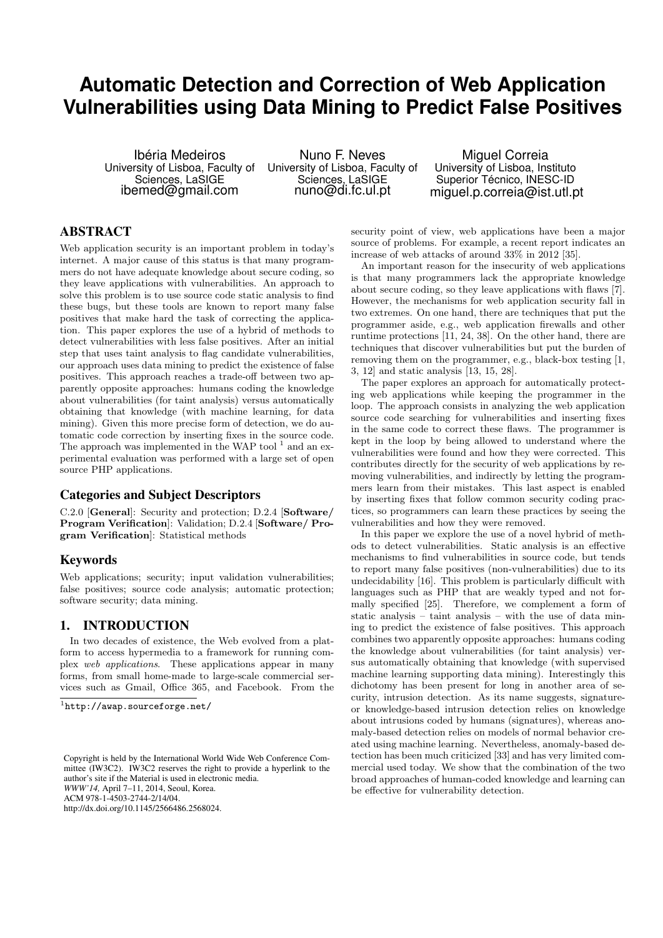# **Automatic Detection and Correction of Web Application Vulnerabilities using Data Mining to Predict False Positives**

Ibéria Medeiros University of Lisboa, Faculty of Sciences, LaSIGE ibemed@gmail.com

Nuno F. Neves University of Lisboa, Faculty of Sciences, LaSIGE nuno@di.fc.ul.pt

Miguel Correia University of Lisboa, Instituto Superior Técnico, INESC-ID miguel.p.correia@ist.utl.pt

# ABSTRACT

Web application security is an important problem in today's internet. A major cause of this status is that many programmers do not have adequate knowledge about secure coding, so they leave applications with vulnerabilities. An approach to solve this problem is to use source code static analysis to find these bugs, but these tools are known to report many false positives that make hard the task of correcting the application. This paper explores the use of a hybrid of methods to detect vulnerabilities with less false positives. After an initial step that uses taint analysis to flag candidate vulnerabilities, our approach uses data mining to predict the existence of false positives. This approach reaches a trade-off between two apparently opposite approaches: humans coding the knowledge about vulnerabilities (for taint analysis) versus automatically obtaining that knowledge (with machine learning, for data mining). Given this more precise form of detection, we do automatic code correction by inserting fixes in the source code. The approach was implemented in the WAP tool<sup>1</sup> and an experimental evaluation was performed with a large set of open source PHP applications.

# Categories and Subject Descriptors

C.2.0 [General]: Security and protection; D.2.4 [Software/ Program Verification]: Validation; D.2.4 [Software/ Program Verification]: Statistical methods

# Keywords

Web applications; security; input validation vulnerabilities; false positives; source code analysis; automatic protection; software security; data mining.

# 1. INTRODUCTION

In two decades of existence, the Web evolved from a platform to access hypermedia to a framework for running complex web applications. These applications appear in many forms, from small home-made to large-scale commercial services such as Gmail, Office 365, and Facebook. From the

Copyright is held by the International World Wide Web Conference Committee (IW3C2). IW3C2 reserves the right to provide a hyperlink to the author's site if the Material is used in electronic media. *WWW'14,* April 7–11, 2014, Seoul, Korea. ACM 978-1-4503-2744-2/14/04. http://dx.doi.org/10.1145/2566486.2568024.

security point of view, web applications have been a major source of problems. For example, a recent report indicates an increase of web attacks of around 33% in 2012 [35].

An important reason for the insecurity of web applications is that many programmers lack the appropriate knowledge about secure coding, so they leave applications with flaws [7]. However, the mechanisms for web application security fall in two extremes. On one hand, there are techniques that put the programmer aside, e.g., web application firewalls and other runtime protections [11, 24, 38]. On the other hand, there are techniques that discover vulnerabilities but put the burden of removing them on the programmer, e.g., black-box testing [1, 3, 12] and static analysis [13, 15, 28].

The paper explores an approach for automatically protecting web applications while keeping the programmer in the loop. The approach consists in analyzing the web application source code searching for vulnerabilities and inserting fixes in the same code to correct these flaws. The programmer is kept in the loop by being allowed to understand where the vulnerabilities were found and how they were corrected. This contributes directly for the security of web applications by removing vulnerabilities, and indirectly by letting the programmers learn from their mistakes. This last aspect is enabled by inserting fixes that follow common security coding practices, so programmers can learn these practices by seeing the vulnerabilities and how they were removed.

In this paper we explore the use of a novel hybrid of methods to detect vulnerabilities. Static analysis is an effective mechanisms to find vulnerabilities in source code, but tends to report many false positives (non-vulnerabilities) due to its undecidability [16]. This problem is particularly difficult with languages such as PHP that are weakly typed and not formally specified [25]. Therefore, we complement a form of static analysis – taint analysis – with the use of data mining to predict the existence of false positives. This approach combines two apparently opposite approaches: humans coding the knowledge about vulnerabilities (for taint analysis) versus automatically obtaining that knowledge (with supervised machine learning supporting data mining). Interestingly this dichotomy has been present for long in another area of security, intrusion detection. As its name suggests, signatureor knowledge-based intrusion detection relies on knowledge about intrusions coded by humans (signatures), whereas anomaly-based detection relies on models of normal behavior created using machine learning. Nevertheless, anomaly-based detection has been much criticized [33] and has very limited commercial used today. We show that the combination of the two broad approaches of human-coded knowledge and learning can be effective for vulnerability detection.

<sup>1</sup> http://awap.sourceforge.net/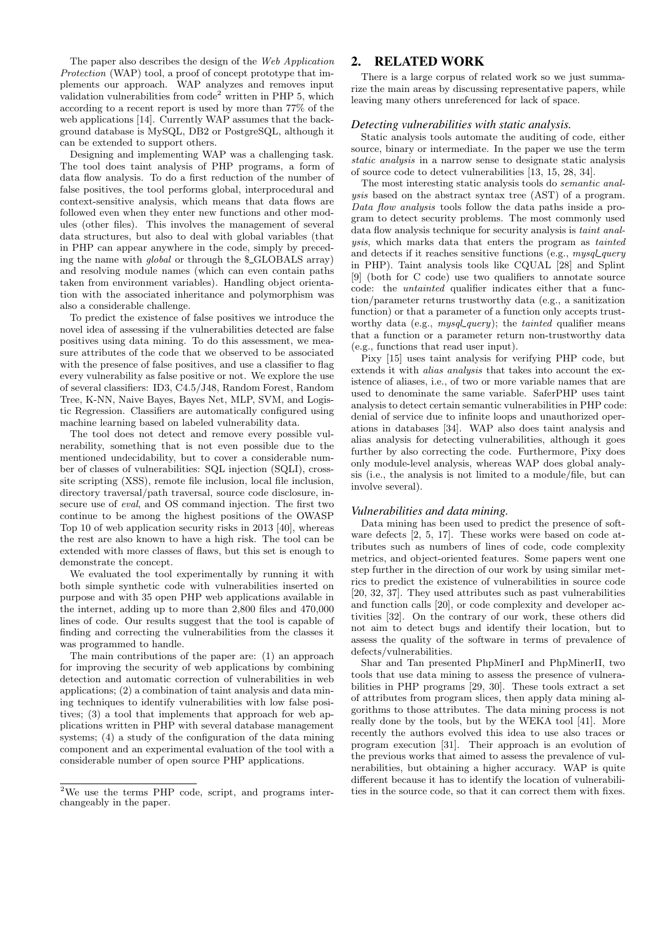The paper also describes the design of the Web Application Protection (WAP) tool, a proof of concept prototype that implements our approach. WAP analyzes and removes input validation vulnerabilities from  $\text{code}^2$  written in PHP 5, which according to a recent report is used by more than 77% of the web applications [14]. Currently WAP assumes that the background database is MySQL, DB2 or PostgreSQL, although it can be extended to support others.

Designing and implementing WAP was a challenging task. The tool does taint analysis of PHP programs, a form of data flow analysis. To do a first reduction of the number of false positives, the tool performs global, interprocedural and context-sensitive analysis, which means that data flows are followed even when they enter new functions and other modules (other files). This involves the management of several data structures, but also to deal with global variables (that in PHP can appear anywhere in the code, simply by preceding the name with *global* or through the  $\&$ -GLOBALS array) and resolving module names (which can even contain paths taken from environment variables). Handling object orientation with the associated inheritance and polymorphism was also a considerable challenge.

To predict the existence of false positives we introduce the novel idea of assessing if the vulnerabilities detected are false positives using data mining. To do this assessment, we measure attributes of the code that we observed to be associated with the presence of false positives, and use a classifier to flag every vulnerability as false positive or not. We explore the use of several classifiers: ID3, C4.5/J48, Random Forest, Random Tree, K-NN, Naive Bayes, Bayes Net, MLP, SVM, and Logistic Regression. Classifiers are automatically configured using machine learning based on labeled vulnerability data.

The tool does not detect and remove every possible vulnerability, something that is not even possible due to the mentioned undecidability, but to cover a considerable number of classes of vulnerabilities: SQL injection (SQLI), crosssite scripting (XSS), remote file inclusion, local file inclusion, directory traversal/path traversal, source code disclosure, insecure use of eval, and OS command injection. The first two continue to be among the highest positions of the OWASP Top 10 of web application security risks in 2013 [40], whereas the rest are also known to have a high risk. The tool can be extended with more classes of flaws, but this set is enough to demonstrate the concept.

We evaluated the tool experimentally by running it with both simple synthetic code with vulnerabilities inserted on purpose and with 35 open PHP web applications available in the internet, adding up to more than 2,800 files and 470,000 lines of code. Our results suggest that the tool is capable of finding and correcting the vulnerabilities from the classes it was programmed to handle.

The main contributions of the paper are: (1) an approach for improving the security of web applications by combining detection and automatic correction of vulnerabilities in web applications; (2) a combination of taint analysis and data mining techniques to identify vulnerabilities with low false positives; (3) a tool that implements that approach for web applications written in PHP with several database management systems; (4) a study of the configuration of the data mining component and an experimental evaluation of the tool with a considerable number of open source PHP applications.

# 2. RELATED WORK

There is a large corpus of related work so we just summarize the main areas by discussing representative papers, while leaving many others unreferenced for lack of space.

### *Detecting vulnerabilities with static analysis.*

Static analysis tools automate the auditing of code, either source, binary or intermediate. In the paper we use the term static analysis in a narrow sense to designate static analysis of source code to detect vulnerabilities [13, 15, 28, 34].

The most interesting static analysis tools do semantic analysis based on the abstract syntax tree (AST) of a program. Data flow analysis tools follow the data paths inside a program to detect security problems. The most commonly used data flow analysis technique for security analysis is taint analysis, which marks data that enters the program as tainted and detects if it reaches sensitive functions (e.g.,  $mysqLquery$ in PHP). Taint analysis tools like CQUAL [28] and Splint [9] (both for C code) use two qualifiers to annotate source code: the *untainted* qualifier indicates either that a function/parameter returns trustworthy data (e.g., a sanitization function) or that a parameter of a function only accepts trustworthy data (e.g.,  $mysqLquery$ ); the *tainted* qualifier means that a function or a parameter return non-trustworthy data (e.g., functions that read user input).

Pixy [15] uses taint analysis for verifying PHP code, but extends it with alias analysis that takes into account the existence of aliases, i.e., of two or more variable names that are used to denominate the same variable. SaferPHP uses taint analysis to detect certain semantic vulnerabilities in PHP code: denial of service due to infinite loops and unauthorized operations in databases [34]. WAP also does taint analysis and alias analysis for detecting vulnerabilities, although it goes further by also correcting the code. Furthermore, Pixy does only module-level analysis, whereas WAP does global analysis (i.e., the analysis is not limited to a module/file, but can involve several).

### *Vulnerabilities and data mining.*

Data mining has been used to predict the presence of software defects [2, 5, 17]. These works were based on code attributes such as numbers of lines of code, code complexity metrics, and object-oriented features. Some papers went one step further in the direction of our work by using similar metrics to predict the existence of vulnerabilities in source code [20, 32, 37]. They used attributes such as past vulnerabilities and function calls [20], or code complexity and developer activities [32]. On the contrary of our work, these others did not aim to detect bugs and identify their location, but to assess the quality of the software in terms of prevalence of defects/vulnerabilities.

Shar and Tan presented PhpMinerI and PhpMinerII, two tools that use data mining to assess the presence of vulnerabilities in PHP programs [29, 30]. These tools extract a set of attributes from program slices, then apply data mining algorithms to those attributes. The data mining process is not really done by the tools, but by the WEKA tool [41]. More recently the authors evolved this idea to use also traces or program execution [31]. Their approach is an evolution of the previous works that aimed to assess the prevalence of vulnerabilities, but obtaining a higher accuracy. WAP is quite different because it has to identify the location of vulnerabilities in the source code, so that it can correct them with fixes.

 $2\overline{W}$  use the terms PHP code, script, and programs interchangeably in the paper.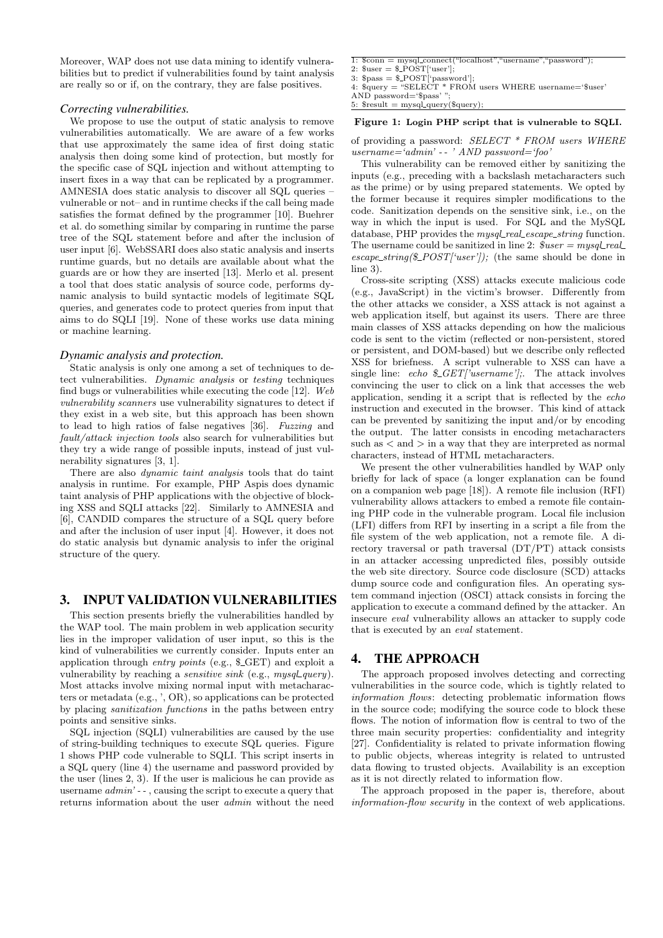Moreover, WAP does not use data mining to identify vulnerabilities but to predict if vulnerabilities found by taint analysis are really so or if, on the contrary, they are false positives.

#### *Correcting vulnerabilities.*

We propose to use the output of static analysis to remove vulnerabilities automatically. We are aware of a few works that use approximately the same idea of first doing static analysis then doing some kind of protection, but mostly for the specific case of SQL injection and without attempting to insert fixes in a way that can be replicated by a programmer. AMNESIA does static analysis to discover all SQL queries – vulnerable or not– and in runtime checks if the call being made satisfies the format defined by the programmer [10]. Buehrer et al. do something similar by comparing in runtime the parse tree of the SQL statement before and after the inclusion of user input [6]. WebSSARI does also static analysis and inserts runtime guards, but no details are available about what the guards are or how they are inserted [13]. Merlo et al. present a tool that does static analysis of source code, performs dynamic analysis to build syntactic models of legitimate SQL queries, and generates code to protect queries from input that aims to do SQLI [19]. None of these works use data mining or machine learning.

#### *Dynamic analysis and protection.*

Static analysis is only one among a set of techniques to detect vulnerabilities. Dynamic analysis or testing techniques find bugs or vulnerabilities while executing the code [12]. Web vulnerability scanners use vulnerability signatures to detect if they exist in a web site, but this approach has been shown to lead to high ratios of false negatives [36]. Fuzzing and fault/attack injection tools also search for vulnerabilities but they try a wide range of possible inputs, instead of just vulnerability signatures [3, 1].

There are also dynamic taint analysis tools that do taint analysis in runtime. For example, PHP Aspis does dynamic taint analysis of PHP applications with the objective of blocking XSS and SQLI attacks [22]. Similarly to AMNESIA and [6], CANDID compares the structure of a SQL query before and after the inclusion of user input [4]. However, it does not do static analysis but dynamic analysis to infer the original structure of the query.

## 3. INPUT VALIDATION VULNERABILITIES

This section presents briefly the vulnerabilities handled by the WAP tool. The main problem in web application security lies in the improper validation of user input, so this is the kind of vulnerabilities we currently consider. Inputs enter an application through *entry points* (e.g.,  $\text{\&GET}$ ) and exploit a vulnerability by reaching a *sensitive sink* (e.g.,  $mysqLquery$ ). Most attacks involve mixing normal input with metacharacters or metadata (e.g., ', OR), so applications can be protected by placing sanitization functions in the paths between entry points and sensitive sinks.

SQL injection (SQLI) vulnerabilities are caused by the use of string-building techniques to execute SQL queries. Figure 1 shows PHP code vulnerable to SQLI. This script inserts in a SQL query (line 4) the username and password provided by the user (lines 2, 3). If the user is malicious he can provide as username admin' - - , causing the script to execute a query that returns information about the user admin without the need

- $\overline{1}$ :  $\overline{\text{Sconn}} = \text{mvsol connect}$  (" $\overline{\text{localhost}}$ " "username", "password")
- 2:  $\text{Suser} = \text{\$POST}$  (user');
- 3: \$pass = \$ POST['password']; 4: \$query = "SELECT \* FROM users WHERE username='\$user'
- AND password='\$pass' ";
- $5:$   $$result = mysqLquery($query);$

### Figure 1: Login PHP script that is vulnerable to SQLI.

of providing a password: SELECT \* FROM users WHERE  $usename='admin' -- 'AND password='foo'$ 

This vulnerability can be removed either by sanitizing the inputs (e.g., preceding with a backslash metacharacters such as the prime) or by using prepared statements. We opted by the former because it requires simpler modifications to the code. Sanitization depends on the sensitive sink, i.e., on the way in which the input is used. For SQL and the MySQL database, PHP provides the mysql\_real\_escape\_string function. The username could be sanitized in line 2:  $\textit{Suser} = \textit{mysgLreal}$  $escape\_string(\text{\textsterling}-PCST['user']);$  (the same should be done in line 3).

Cross-site scripting (XSS) attacks execute malicious code (e.g., JavaScript) in the victim's browser. Differently from the other attacks we consider, a XSS attack is not against a web application itself, but against its users. There are three main classes of XSS attacks depending on how the malicious code is sent to the victim (reflected or non-persistent, stored or persistent, and DOM-based) but we describe only reflected XSS for briefness. A script vulnerable to XSS can have a single line: echo  $\frac{\text{E}}{\text{E}}$  GET ['username'];. The attack involves convincing the user to click on a link that accesses the web application, sending it a script that is reflected by the echo instruction and executed in the browser. This kind of attack can be prevented by sanitizing the input and/or by encoding the output. The latter consists in encoding metacharacters such as  $\langle$  and  $\rangle$  in a way that they are interpreted as normal characters, instead of HTML metacharacters.

We present the other vulnerabilities handled by WAP only briefly for lack of space (a longer explanation can be found on a companion web page [18]). A remote file inclusion (RFI) vulnerability allows attackers to embed a remote file containing PHP code in the vulnerable program. Local file inclusion (LFI) differs from RFI by inserting in a script a file from the file system of the web application, not a remote file. A directory traversal or path traversal (DT/PT) attack consists in an attacker accessing unpredicted files, possibly outside the web site directory. Source code disclosure (SCD) attacks dump source code and configuration files. An operating system command injection (OSCI) attack consists in forcing the application to execute a command defined by the attacker. An insecure eval vulnerability allows an attacker to supply code that is executed by an eval statement.

### 4. THE APPROACH

The approach proposed involves detecting and correcting vulnerabilities in the source code, which is tightly related to information flows: detecting problematic information flows in the source code; modifying the source code to block these flows. The notion of information flow is central to two of the three main security properties: confidentiality and integrity [27]. Confidentiality is related to private information flowing to public objects, whereas integrity is related to untrusted data flowing to trusted objects. Availability is an exception as it is not directly related to information flow.

The approach proposed in the paper is, therefore, about information-flow security in the context of web applications.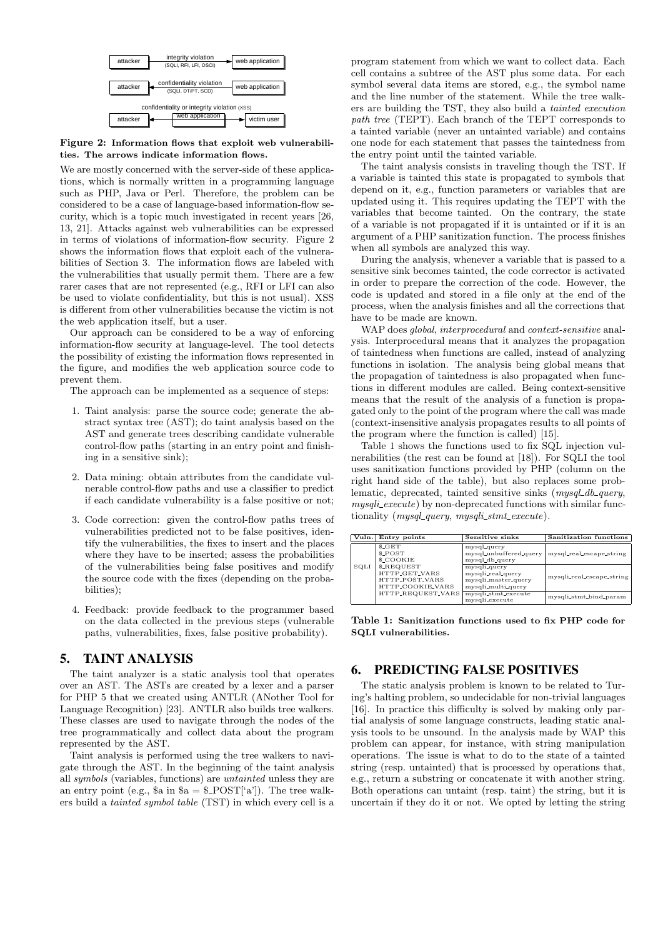

Figure 2: Information flows that exploit web vulnerabilities. The arrows indicate information flows.

We are mostly concerned with the server-side of these applications, which is normally written in a programming language such as PHP, Java or Perl. Therefore, the problem can be considered to be a case of language-based information-flow security, which is a topic much investigated in recent years [26, 13, 21]. Attacks against web vulnerabilities can be expressed in terms of violations of information-flow security. Figure 2 shows the information flows that exploit each of the vulnerabilities of Section 3. The information flows are labeled with the vulnerabilities that usually permit them. There are a few rarer cases that are not represented (e.g., RFI or LFI can also be used to violate confidentiality, but this is not usual). XSS is different from other vulnerabilities because the victim is not the web application itself, but a user.

Our approach can be considered to be a way of enforcing information-flow security at language-level. The tool detects the possibility of existing the information flows represented in the figure, and modifies the web application source code to prevent them.

The approach can be implemented as a sequence of steps:

- 1. Taint analysis: parse the source code; generate the abstract syntax tree (AST); do taint analysis based on the AST and generate trees describing candidate vulnerable control-flow paths (starting in an entry point and finishing in a sensitive sink);
- 2. Data mining: obtain attributes from the candidate vulnerable control-flow paths and use a classifier to predict if each candidate vulnerability is a false positive or not;
- 3. Code correction: given the control-flow paths trees of vulnerabilities predicted not to be false positives, identify the vulnerabilities, the fixes to insert and the places where they have to be inserted; assess the probabilities of the vulnerabilities being false positives and modify the source code with the fixes (depending on the probabilities);
- 4. Feedback: provide feedback to the programmer based on the data collected in the previous steps (vulnerable paths, vulnerabilities, fixes, false positive probability).

## 5. TAINT ANALYSIS

The taint analyzer is a static analysis tool that operates over an AST. The ASTs are created by a lexer and a parser for PHP 5 that we created using ANTLR (ANother Tool for Language Recognition) [23]. ANTLR also builds tree walkers. These classes are used to navigate through the nodes of the tree programmatically and collect data about the program represented by the AST.

Taint analysis is performed using the tree walkers to navigate through the AST. In the beginning of the taint analysis all symbols (variables, functions) are untainted unless they are an entry point (e.g.,  $a \in \mathcal{L}POST['a']$ ). The tree walkers build a tainted symbol table (TST) in which every cell is a

program statement from which we want to collect data. Each cell contains a subtree of the AST plus some data. For each symbol several data items are stored, e.g., the symbol name and the line number of the statement. While the tree walkers are building the TST, they also build a tainted execution path tree (TEPT). Each branch of the TEPT corresponds to a tainted variable (never an untainted variable) and contains one node for each statement that passes the taintedness from the entry point until the tainted variable.

The taint analysis consists in traveling though the TST. If a variable is tainted this state is propagated to symbols that depend on it, e.g., function parameters or variables that are updated using it. This requires updating the TEPT with the variables that become tainted. On the contrary, the state of a variable is not propagated if it is untainted or if it is an argument of a PHP sanitization function. The process finishes when all symbols are analyzed this way.

During the analysis, whenever a variable that is passed to a sensitive sink becomes tainted, the code corrector is activated in order to prepare the correction of the code. However, the code is updated and stored in a file only at the end of the process, when the analysis finishes and all the corrections that have to be made are known.

WAP does *global*, interprocedural and context-sensitive analysis. Interprocedural means that it analyzes the propagation of taintedness when functions are called, instead of analyzing functions in isolation. The analysis being global means that the propagation of taintedness is also propagated when functions in different modules are called. Being context-sensitive means that the result of the analysis of a function is propagated only to the point of the program where the call was made (context-insensitive analysis propagates results to all points of the program where the function is called) [15].

Table 1 shows the functions used to fix SQL injection vulnerabilities (the rest can be found at [18]). For SQLI the tool uses sanitization functions provided by PHP (column on the right hand side of the table), but also replaces some problematic, deprecated, tainted sensitive sinks  $(mysqLdb_query,$ mysqli\_execute) by non-deprecated functions with similar functionality (mysql\_query, mysqli\_stmt\_execute).

|      | Vuln. Entry points                                  | Sensitive sinks                                                         | Sanitization functions    |
|------|-----------------------------------------------------|-------------------------------------------------------------------------|---------------------------|
| SQLI | $S \cdot GET$<br>\$POST<br>\$_COOKIE<br>\$_REQUEST  | mysql_query<br>mysql_unbuffered_query<br>mysql_db_query<br>mysqli_query | mysql_real_escape_string  |
|      | HTTP_GET_VARS<br>HTTP_POST_VARS<br>HTTP_COOKIE_VARS | mysqli_real_query<br>mysqli_master_query<br>mysqli_multi_query          | mysqli_real_escape_string |
|      | HTTP_REQUEST_VARS                                   | mysqli_stmt_execute<br>mysqli_execute                                   | mysqli_stmt_bind_param    |

Table 1: Sanitization functions used to fix PHP code for SQLI vulnerabilities.

## 6. PREDICTING FALSE POSITIVES

The static analysis problem is known to be related to Turing's halting problem, so undecidable for non-trivial languages [16]. In practice this difficulty is solved by making only partial analysis of some language constructs, leading static analysis tools to be unsound. In the analysis made by WAP this problem can appear, for instance, with string manipulation operations. The issue is what to do to the state of a tainted string (resp. untainted) that is processed by operations that, e.g., return a substring or concatenate it with another string. Both operations can untaint (resp. taint) the string, but it is uncertain if they do it or not. We opted by letting the string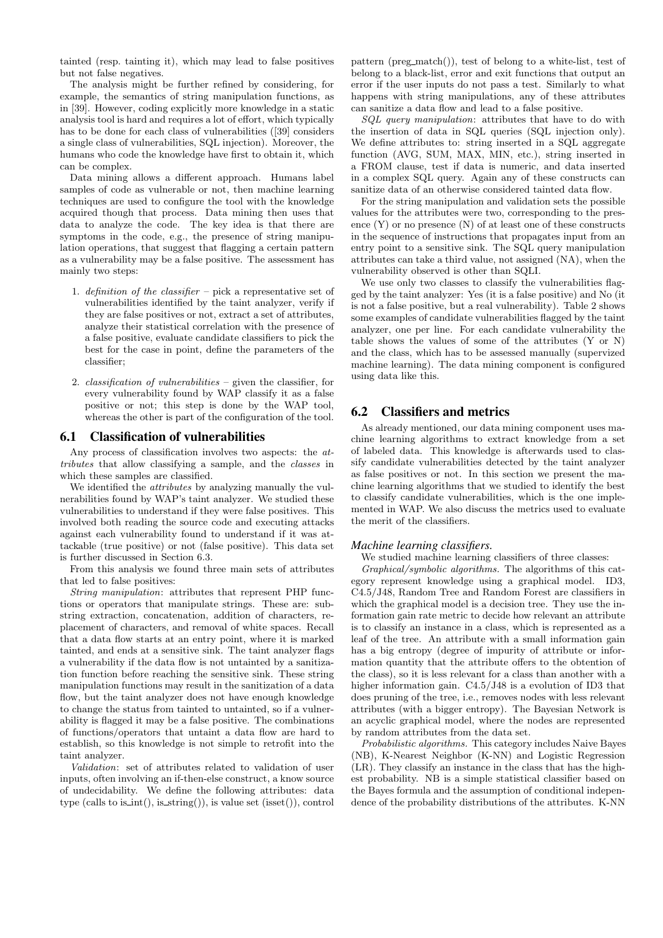tainted (resp. tainting it), which may lead to false positives but not false negatives.

The analysis might be further refined by considering, for example, the semantics of string manipulation functions, as in [39]. However, coding explicitly more knowledge in a static analysis tool is hard and requires a lot of effort, which typically has to be done for each class of vulnerabilities ([39] considers a single class of vulnerabilities, SQL injection). Moreover, the humans who code the knowledge have first to obtain it, which can be complex.

Data mining allows a different approach. Humans label samples of code as vulnerable or not, then machine learning techniques are used to configure the tool with the knowledge acquired though that process. Data mining then uses that data to analyze the code. The key idea is that there are symptoms in the code, e.g., the presence of string manipulation operations, that suggest that flagging a certain pattern as a vulnerability may be a false positive. The assessment has mainly two steps:

- 1. definition of the classifier pick a representative set of vulnerabilities identified by the taint analyzer, verify if they are false positives or not, extract a set of attributes, analyze their statistical correlation with the presence of a false positive, evaluate candidate classifiers to pick the best for the case in point, define the parameters of the classifier;
- 2. classification of vulnerabilities given the classifier, for every vulnerability found by WAP classify it as a false positive or not; this step is done by the WAP tool, whereas the other is part of the configuration of the tool.

## 6.1 Classification of vulnerabilities

Any process of classification involves two aspects: the attributes that allow classifying a sample, and the classes in which these samples are classified.

We identified the *attributes* by analyzing manually the vulnerabilities found by WAP's taint analyzer. We studied these vulnerabilities to understand if they were false positives. This involved both reading the source code and executing attacks against each vulnerability found to understand if it was attackable (true positive) or not (false positive). This data set is further discussed in Section 6.3.

From this analysis we found three main sets of attributes that led to false positives:

String manipulation: attributes that represent PHP functions or operators that manipulate strings. These are: substring extraction, concatenation, addition of characters, replacement of characters, and removal of white spaces. Recall that a data flow starts at an entry point, where it is marked tainted, and ends at a sensitive sink. The taint analyzer flags a vulnerability if the data flow is not untainted by a sanitization function before reaching the sensitive sink. These string manipulation functions may result in the sanitization of a data flow, but the taint analyzer does not have enough knowledge to change the status from tainted to untainted, so if a vulnerability is flagged it may be a false positive. The combinations of functions/operators that untaint a data flow are hard to establish, so this knowledge is not simple to retrofit into the taint analyzer.

Validation: set of attributes related to validation of user inputs, often involving an if-then-else construct, a know source of undecidability. We define the following attributes: data type (calls to is\_int(), is\_string()), is value set (isset()), control

pattern ( $preg_matrix$ match $()$ ), test of belong to a white-list, test of belong to a black-list, error and exit functions that output an error if the user inputs do not pass a test. Similarly to what happens with string manipulations, any of these attributes can sanitize a data flow and lead to a false positive.

SQL query manipulation: attributes that have to do with the insertion of data in SQL queries (SQL injection only). We define attributes to: string inserted in a SQL aggregate function (AVG, SUM, MAX, MIN, etc.), string inserted in a FROM clause, test if data is numeric, and data inserted in a complex SQL query. Again any of these constructs can sanitize data of an otherwise considered tainted data flow.

For the string manipulation and validation sets the possible values for the attributes were two, corresponding to the presence  $(Y)$  or no presence  $(N)$  of at least one of these constructs in the sequence of instructions that propagates input from an entry point to a sensitive sink. The SQL query manipulation attributes can take a third value, not assigned (NA), when the vulnerability observed is other than SQLI.

We use only two classes to classify the vulnerabilities flagged by the taint analyzer: Yes (it is a false positive) and No (it is not a false positive, but a real vulnerability). Table 2 shows some examples of candidate vulnerabilities flagged by the taint analyzer, one per line. For each candidate vulnerability the table shows the values of some of the attributes (Y or N) and the class, which has to be assessed manually (supervized machine learning). The data mining component is configured using data like this.

## 6.2 Classifiers and metrics

As already mentioned, our data mining component uses machine learning algorithms to extract knowledge from a set of labeled data. This knowledge is afterwards used to classify candidate vulnerabilities detected by the taint analyzer as false positives or not. In this section we present the machine learning algorithms that we studied to identify the best to classify candidate vulnerabilities, which is the one implemented in WAP. We also discuss the metrics used to evaluate the merit of the classifiers.

### *Machine learning classifiers.*

We studied machine learning classifiers of three classes:

Graphical/symbolic algorithms. The algorithms of this category represent knowledge using a graphical model. ID3, C4.5/J48, Random Tree and Random Forest are classifiers in which the graphical model is a decision tree. They use the information gain rate metric to decide how relevant an attribute is to classify an instance in a class, which is represented as a leaf of the tree. An attribute with a small information gain has a big entropy (degree of impurity of attribute or information quantity that the attribute offers to the obtention of the class), so it is less relevant for a class than another with a higher information gain. C4.5/J48 is a evolution of ID3 that does pruning of the tree, i.e., removes nodes with less relevant attributes (with a bigger entropy). The Bayesian Network is an acyclic graphical model, where the nodes are represented by random attributes from the data set.

Probabilistic algorithms. This category includes Naive Bayes (NB), K-Nearest Neighbor (K-NN) and Logistic Regression (LR). They classify an instance in the class that has the highest probability. NB is a simple statistical classifier based on the Bayes formula and the assumption of conditional independence of the probability distributions of the attributes. K-NN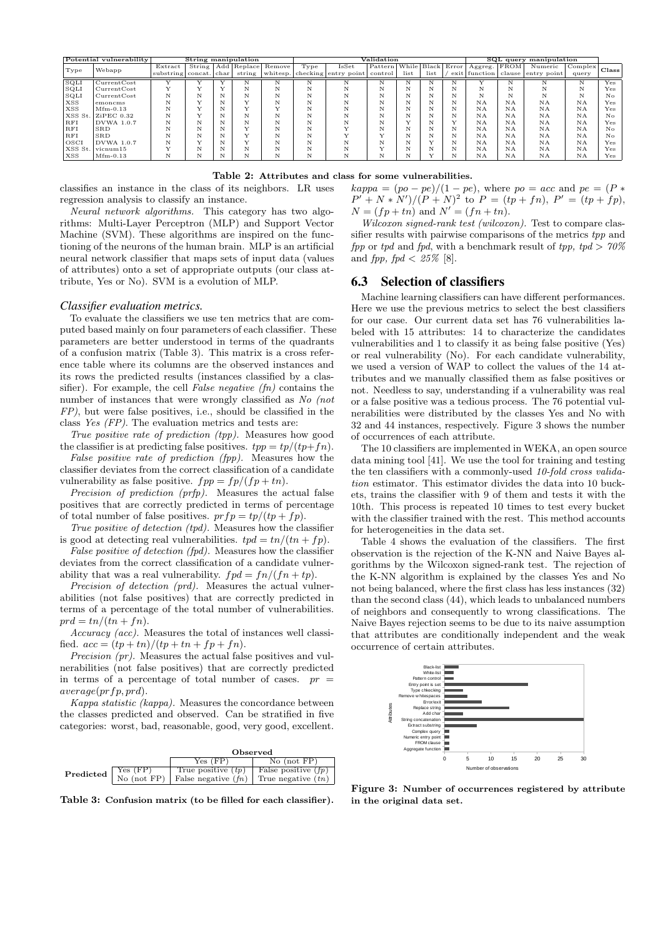|            | Potential vulnerability |                   |               |                      | String manipulation    |                     |      |                               | Validation      |      |      |             |               |             | SQL query manipulation |                      |       |
|------------|-------------------------|-------------------|---------------|----------------------|------------------------|---------------------|------|-------------------------------|-----------------|------|------|-------------|---------------|-------------|------------------------|----------------------|-------|
| Type       | Webapp                  | Extract           |               |                      | String   Add   Replace | Remove <sup>'</sup> | Type | IsSet                         | Pattern   While |      |      | Black Error | Aggreg.       | <b>FROM</b> | Numeric                | Complex <sub>1</sub> | Class |
|            |                         | substring concat. |               | .   char             | string                 |                     |      | whitesp. checking entry point | control         | list | list |             | exit function |             | clause entry point     | query                |       |
| SQLI       | CurrentCost             |                   |               |                      |                        |                     |      |                               |                 |      | N    | IN          |               | N           | N                      | N                    | Yes   |
| SQLI       | CurrentCost             | $\mathbf{v}$      |               |                      |                        |                     |      | N                             | N               | N    | N    | N           | N             | N           | N                      | N                    | Yes   |
| SQLI       | CurrentCost             | N                 | N             |                      |                        |                     |      |                               |                 | N    | N    | N           | N             | N           | N                      | N                    | No    |
| XSS        | emoncms                 | N                 | $\sim$        |                      |                        |                     |      |                               |                 | N    | N    | N           | <b>NA</b>     | <b>NA</b>   | <b>NA</b>              | NA                   | Yes   |
| XSS        | $Mfm-0.13$              |                   |               |                      |                        |                     |      |                               |                 |      | N    | N           | <b>NA</b>     | <b>NA</b>   | <b>NA</b>              | NA                   | Yes   |
| XSS<br>St  | $ZiPEC$ 0.32            | N                 | $\sim$ $\sim$ | $\mathbf{A}$         | N                      |                     |      | N                             | N               | N    | N    | N           | <b>NA</b>     | <b>NA</b>   | <b>NA</b>              | NA                   | No    |
| <b>RFI</b> | DVWA 1.0.7              | N                 | N             | $\mathbf{A}$         |                        |                     |      |                               | N               |      |      |             | <b>NA</b>     | N A         | N A                    | N <sub>A</sub>       | Yes   |
| <b>RFI</b> | <b>SRD</b>              | N                 | N             | $\mathbf{A}$<br>- IN |                        |                     |      |                               |                 | N    | N    | N           | <b>NA</b>     | <b>NA</b>   | <b>NA</b>              | NA                   | No.   |
| <b>RFI</b> | <b>SRD</b>              | N                 | N             | N                    |                        |                     |      |                               |                 | N    | N    | N           | NA            | NA          | <b>NA</b>              | NA                   | No    |
| OSCI       | DVWA 1.0.7              |                   |               |                      |                        |                     |      |                               |                 | N    |      | N           | <b>NA</b>     | <b>NA</b>   | <b>NA</b>              | NA                   | Yes   |
| XSS St     | vichum15                | 3.7               | N             | N                    | N                      |                     |      | <b>AT</b>                     | <b>35</b>       | N    | N    | N           | <b>NA</b>     | NA          | <b>NA</b>              | NA                   | Yes   |
| XSS        | $Mfm-0.13$              | N                 | N             |                      |                        |                     |      | N                             |                 |      |      | N           | <b>NA</b>     | <b>NA</b>   | <b>NA</b>              | <b>NA</b>            | Yes   |

classifies an instance in the class of its neighbors. LR uses regression analysis to classify an instance.

Neural network algorithms. This category has two algorithms: Multi-Layer Perceptron (MLP) and Support Vector Machine (SVM). These algorithms are inspired on the functioning of the neurons of the human brain. MLP is an artificial neural network classifier that maps sets of input data (values of attributes) onto a set of appropriate outputs (our class attribute, Yes or No). SVM is a evolution of MLP.

## *Classifier evaluation metrics.*

To evaluate the classifiers we use ten metrics that are computed based mainly on four parameters of each classifier. These parameters are better understood in terms of the quadrants of a confusion matrix (Table 3). This matrix is a cross reference table where its columns are the observed instances and its rows the predicted results (instances classified by a classifier). For example, the cell False negative  $(\text{fn})$  contains the number of instances that were wrongly classified as No (not FP), but were false positives, i.e., should be classified in the class Yes (FP). The evaluation metrics and tests are:

True positive rate of prediction (tpp). Measures how good the classifier is at predicting false positives.  $tpp = tp/(tp+fn)$ .

False positive rate of prediction (fpp). Measures how the classifier deviates from the correct classification of a candidate vulnerability as false positive.  $fpp = fp/(fp + tn)$ .

Precision of prediction (prfp). Measures the actual false positives that are correctly predicted in terms of percentage of total number of false positives.  $prfp = tp/(tp + fp)$ .

True positive of detection (tpd). Measures how the classifier is good at detecting real vulnerabilities.  $tpd = tn/(tn + fp)$ .

False positive of detection (fpd). Measures how the classifier deviates from the correct classification of a candidate vulnerability that was a real vulnerability.  $f p d = f n / (f n + t p)$ .

Precision of detection (prd). Measures the actual vulnerabilities (not false positives) that are correctly predicted in terms of a percentage of the total number of vulnerabilities.  $prd = \frac{tn}{t_n + fn}.$ 

Accuracy (acc). Measures the total of instances well classified.  $acc = (tp + tn)/(tp + tn + fp + fn)$ .

Precision (pr). Measures the actual false positives and vulnerabilities (not false positives) that are correctly predicted in terms of a percentage of total number of cases.  $pr =$  $average(prfp, prd)$ .

Kappa statistic (kappa). Measures the concordance between the classes predicted and observed. Can be stratified in five categories: worst, bad, reasonable, good, very good, excellent.



Table 3: Confusion matrix (to be filled for each classifier).

 $kappa = (po - pe)/(1 - pe)$ , where  $po = acc$  and  $pe = (P *$  $P' + N * N' / (P + N)^2$  to  $P = (tp + fn), P' = (tp + fp),$  $N = (fp + tn)$  and  $N' = (fn + tn)$ .

Wilcoxon signed-rank test (wilcoxon). Test to compare classifier results with pairwise comparisons of the metrics tpp and fpp or tpd and fpd, with a benchmark result of tpp, tpd >  $70\%$ and  $fpp, fpd < 25\%$  [8].

## 6.3 Selection of classifiers

Machine learning classifiers can have different performances. Here we use the previous metrics to select the best classifiers for our case. Our current data set has 76 vulnerabilities labeled with 15 attributes: 14 to characterize the candidates vulnerabilities and 1 to classify it as being false positive (Yes) or real vulnerability (No). For each candidate vulnerability, we used a version of WAP to collect the values of the 14 attributes and we manually classified them as false positives or not. Needless to say, understanding if a vulnerability was real or a false positive was a tedious process. The 76 potential vulnerabilities were distributed by the classes Yes and No with 32 and 44 instances, respectively. Figure 3 shows the number of occurrences of each attribute.

The 10 classifiers are implemented in WEKA, an open source data mining tool [41]. We use the tool for training and testing the ten classifiers with a commonly-used 10-fold cross validation estimator. This estimator divides the data into 10 buckets, trains the classifier with 9 of them and tests it with the 10th. This process is repeated 10 times to test every bucket with the classifier trained with the rest. This method accounts for heterogeneities in the data set.

Table 4 shows the evaluation of the classifiers. The first observation is the rejection of the K-NN and Naive Bayes algorithms by the Wilcoxon signed-rank test. The rejection of the K-NN algorithm is explained by the classes Yes and No not being balanced, where the first class has less instances (32) than the second class (44), which leads to unbalanced numbers of neighbors and consequently to wrong classifications. The Naive Bayes rejection seems to be due to its naive assumption that attributes are conditionally independent and the weak occurrence of certain attributes.



Figure 3: Number of occurrences registered by attribute in the original data set.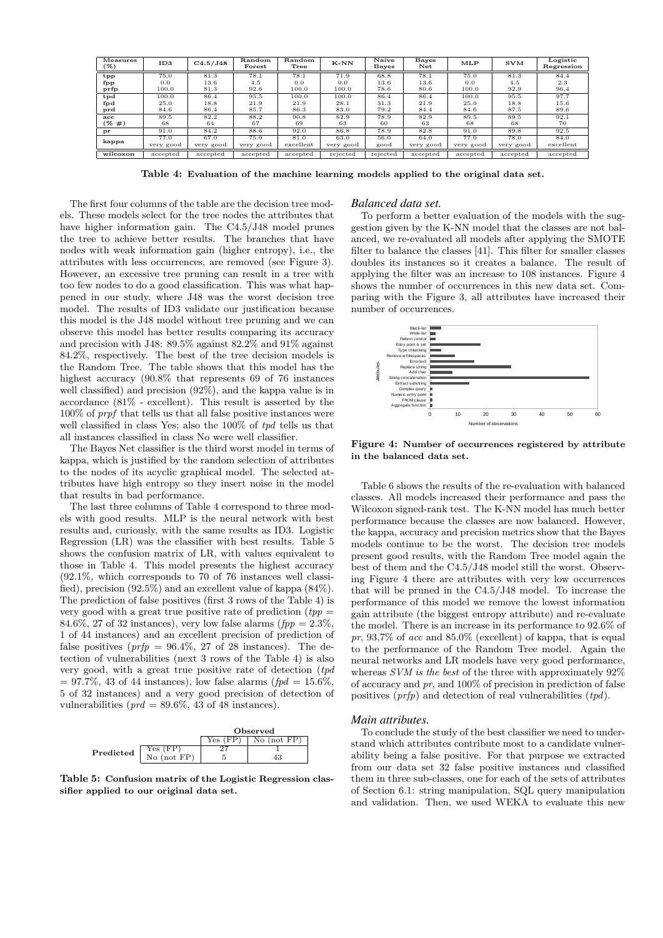| <b>Measures</b><br>$(\%)$ | ID3       | C4.5/J48  | Random<br>Forest | Random<br>Tree | $K-NN$    | <b>Naive</b><br><b>Bayes</b> | <b>Bayes</b><br>Net | MLP       | <b>SVM</b> | Logistic<br>Regression |
|---------------------------|-----------|-----------|------------------|----------------|-----------|------------------------------|---------------------|-----------|------------|------------------------|
| tpp                       | 75.0      | 81.3      | 78.1             | 78.1           | 71.9      | 68.8                         | 78.1                | 75.0      | 81.3       | 84.4                   |
| fpp                       | 0.0       | 13.6      | 4.5              | 0.0            | 0.0       | 13.6                         | 13.6                | 0.0       | 4.5        | 2.3                    |
| prfp                      | 100.0     | 81.3      | 92.6             | 100.0          | 100.0     | 78.6                         | 80.6                | 100.0     | 92.9       | 96.4                   |
| tpd                       | 100.0     | 86.4      | 95.5             | 100.0          | 100.0     | 86.4                         | 86.4                | 100.0     | 95.5       | 97.7                   |
| fpd                       | 25.0      | 18.8      | 21.9             | 21.9           | 28.1      | 31.3                         | 21.9                | 25.0      | 18.8       | 15.6                   |
| prd                       | 84.6      | 86.4      | 85.7             | 86.3           | 83.0      | 79.2                         | 84.4                | 84.6      | 87.5       | 89.6                   |
| $_{\rm acc}$              | 89.5      | 82.2      | 88.2             | 90.8           | 82.9      | 78.9                         | 82.9                | 89.5      | 89.5       | 92.1                   |
| (% #)                     | 68        | 64        | 67               | 69             | 63        | 60                           | 63                  | 68        | 68         | 70                     |
| pr                        | 91.0      | 84.2      | 88.6             | 92.0           | 86.8      | 78.9                         | 82.8                | 91.0      | 89.8       | 92.5                   |
| kappa                     | 77.0      | 67.0      | 75.0             | 81.0           | 63.0      | 56.0                         | 64.0                | 77.0      | 78.0       | 84.0                   |
|                           | very good | very good | very good        | excellent      | very good | good                         | very good           | very good | very good  | excellent              |
| wilcoxon                  | accepted  | accepted  | accepted         | accepted       | rejected  | rejected                     | accepted            | accepted  | accepted   | accepted               |

Table 4: Evaluation of the machine learning models applied to the original data set.

The first four columns of the table are the decision tree models. These models select for the tree nodes the attributes that have higher information gain. The C4.5/J48 model prunes the tree to achieve better results. The branches that have nodes with weak information gain (higher entropy), i.e., the attributes with less occurrences, are removed (see Figure 3). However, an excessive tree pruning can result in a tree with too few nodes to do a good classification. This was what happened in our study, where J48 was the worst decision tree model. The results of ID3 validate our justification because this model is the J48 model without tree pruning and we can observe this model has better results comparing its accuracy and precision with J48: 89.5% against 82.2% and 91% against 84.2%, respectively. The best of the tree decision models is the Random Tree. The table shows that this model has the highest accuracy (90.8% that represents 69 of 76 instances well classified) and precision (92%), and the kappa value is in accordance (81% - excellent). This result is asserted by the 100% of prpf that tells us that all false positive instances were well classified in class Yes; also the 100% of tpd tells us that all instances classified in class No were well classifier.

The Bayes Net classifier is the third worst model in terms of kappa, which is justified by the random selection of attributes to the nodes of its acyclic graphical model. The selected attributes have high entropy so they insert noise in the model that results in bad performance.

The last three columns of Table 4 correspond to three models with good results. MLP is the neural network with best results and, curiously, with the same results as ID3. Logistic Regression (LR) was the classifier with best results. Table 5 shows the confusion matrix of LR, with values equivalent to those in Table 4. This model presents the highest accuracy (92.1%, which corresponds to 70 of 76 instances well classified), precision (92.5%) and an excellent value of kappa (84%). The prediction of false positives (first 3 rows of the Table 4) is very good with a great true positive rate of prediction  $(tpp =$ 84.6%, 27 of 32 instances), very low false alarms ( $fpp = 2.3\%$ ) 1 of 44 instances) and an excellent precision of prediction of false positives ( $prfp = 96.4\%$ , 27 of 28 instances). The detection of vulnerabilities (next 3 rows of the Table 4) is also very good, with a great true positive rate of detection (tpd  $= 97.7\%$ , 43 of 44 instances), low false alarms (fpd  $= 15.6\%$ , 5 of 32 instances) and a very good precision of detection of vulnerabilities ( $prd = 89.6\%$ , 43 of 48 instances).

|           |                | Observed |              |  |  |  |  |
|-----------|----------------|----------|--------------|--|--|--|--|
|           |                | Υes      | not FP<br>NО |  |  |  |  |
| Predicted | Yes            |          |              |  |  |  |  |
|           | No<br>(not FP) |          |              |  |  |  |  |

Table 5: Confusion matrix of the Logistic Regression classifier applied to our original data set.

## *Balanced data set.*

To perform a better evaluation of the models with the suggestion given by the K-NN model that the classes are not balanced, we re-evaluated all models after applying the SMOTE filter to balance the classes [41]. This filter for smaller classes doubles its instances so it creates a balance. The result of applying the filter was an increase to 108 instances. Figure 4 shows the number of occurrences in this new data set. Comparing with the Figure 3, all attributes have increased their number of occurrences.



Figure 4: Number of occurrences registered by attribute in the balanced data set.

performance because the classes are now balanced. However, Table 6 shows the results of the re-evaluation with balanced classes. All models increased their performance and pass the Wilcoxon signed-rank test. The K-NN model has much better the kappa, accuracy and precision metrics show that the Bayes models continue to be the worst. The decision tree models present good results, with the Random Tree model again the best of them and the C4.5/J48 model still the worst. Observing Figure 4 there are attributes with very low occurrences that will be pruned in the C4.5/J48 model. To increase the performance of this model we remove the lowest information gain attribute (the biggest entropy attribute) and re-evaluate the model. There is an increase in its performance to 92.6% of  $pr$ , 93,7% of acc and 85.0% (excellent) of kappa, that is equal to the performance of the Random Tree model. Again the neural networks and LR models have very good performance, whereas SVM is the best of the three with approximately 92% of accuracy and pr, and 100% of precision in prediction of false positives  $(prfp)$  and detection of real vulnerabilities  $(tpd)$ .

#### *Main attributes.*

To conclude the study of the best classifier we need to understand which attributes contribute most to a candidate vulnerability being a false positive. For that purpose we extracted from our data set 32 false positive instances and classified them in three sub-classes, one for each of the sets of attributes of Section 6.1: string manipulation, SQL query manipulation and validation. Then, we used WEKA to evaluate this new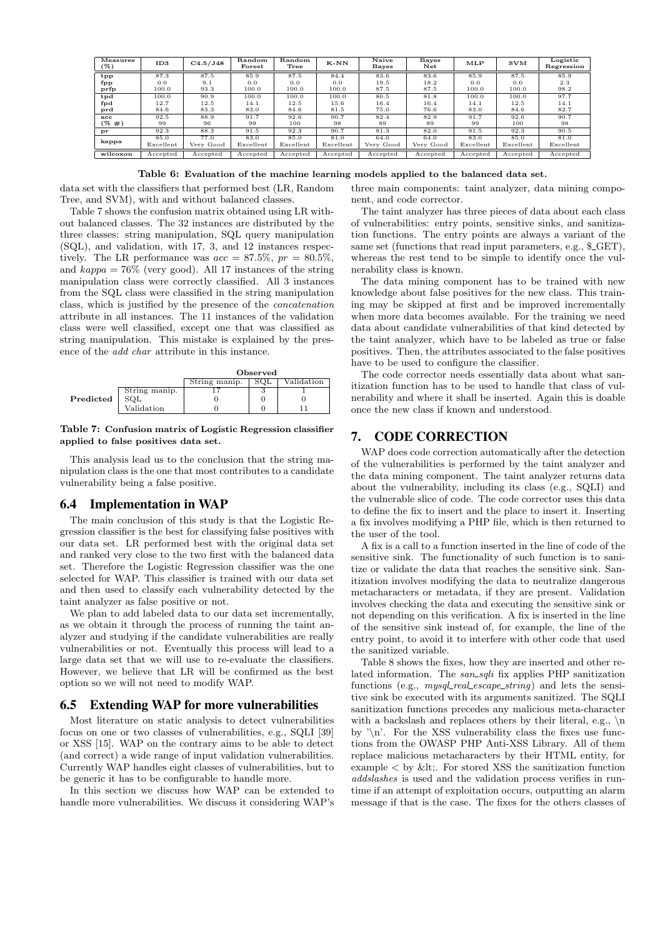| Measures<br>$(\%)$ | ID3       | C4.5/J48  | Random<br>Forest | Random<br>Tree | $K-NN$    | <b>Naive</b><br><b>Bayes</b> | <b>Bayes</b><br>Net | MLP       | <b>SVM</b> | Logistic<br>Regression |
|--------------------|-----------|-----------|------------------|----------------|-----------|------------------------------|---------------------|-----------|------------|------------------------|
| tpp                | 87.3      | 87.5      | 85.9             | 87.5           | 84.4      | 83.6                         | 83.6                | 85.9      | 87.5       | 85.9                   |
| $_{\rm fpp}$       | 0.0       | 9.1       | 0.0              | 0.0            | 0.0       | 19.5                         | 18.2                | 0.0       | 0.0        | 2.3                    |
| prfp               | 100.0     | 93.3      | 100.0            | 100.0          | 100.0     | 87.5                         | 87.5                | 100.0     | 100.0      | 98.2                   |
| tpd                | 100.0     | 90.9      | 100.0            | 100.0          | 100.0     | 80.5                         | 81.8                | 100.0     | 100.0      | 97.7                   |
| fpd                | 12.7      | 12.5      | 14.1             | 12.5           | 15.6      | 16.4                         | 16.4                | 14.1      | 12.5       | 14.1                   |
| prd                | 84.6      | 83.3      | 83.0             | 84.6           | 81.5      | 75.0                         | 76.6                | 83.0      | 84.6       | 82.7                   |
| acc                | 92.5      | 88.9      | 91.7             | 92.6           | 90.7      | 82.4                         | 82.9                | 91.7      | 92.6       | 90.7                   |
| $( \% \# )$        | 99        | 96        | 99               | 100            | 98        | 89                           | 89                  | 99        | 100        | 98                     |
| pr                 | 92.3      | 88.3      | 91.5             | 92.3           | 90.7      | 81.3                         | 82.0                | 91.5      | 92.3       | 90.5                   |
|                    | 85.0      | 77.0      | 83.0             | 85.0           | 81.0      | 64.0                         | 64.0                | 83.0      | 85.0       | 81.0                   |
| kappa              | Excellent | Very Good | Excellent        | Excellent      | Excellent | Very Good                    | Very Good           | Excellent | Excellent  | Excellent              |
| wilcoxon           | Accepted  | Accepted  | Accepted         | Accepted       | Accepted  | Accepted                     | Accepted            | Accepted  | Accepted   | Accepted               |

#### Table 6: Evaluation of the machine learning models applied to the balanced data set.

data set with the classifiers that performed best (LR, Random Tree, and SVM), with and without balanced classes.

Table 7 shows the confusion matrix obtained using LR without balanced classes. The 32 instances are distributed by the three classes: string manipulation, SQL query manipulation (SQL), and validation, with 17, 3, and 12 instances respectively. The LR performance was  $acc = 87.5\%, pr = 80.5\%$ , and  $kappa = 76\%$  (very good). All 17 instances of the string manipulation class were correctly classified. All 3 instances from the SQL class were classified in the string manipulation class, which is justified by the presence of the concatenation attribute in all instances. The 11 instances of the validation class were well classified, except one that was classified as string manipulation. This mistake is explained by the presence of the add char attribute in this instance.

|           |               | Observed                    |  |  |  |  |  |  |  |
|-----------|---------------|-----------------------------|--|--|--|--|--|--|--|
|           |               | √alidation<br>String manip. |  |  |  |  |  |  |  |
|           | String manip. |                             |  |  |  |  |  |  |  |
| Predicted |               |                             |  |  |  |  |  |  |  |
|           | Validation    |                             |  |  |  |  |  |  |  |

### Table 7: Confusion matrix of Logistic Regression classifier applied to false positives data set.

This analysis lead us to the conclusion that the string manipulation class is the one that most contributes to a candidate vulnerability being a false positive.

## 6.4 Implementation in WAP

The main conclusion of this study is that the Logistic Regression classifier is the best for classifying false positives with our data set. LR performed best with the original data set and ranked very close to the two first with the balanced data set. Therefore the Logistic Regression classifier was the one selected for WAP. This classifier is trained with our data set and then used to classify each vulnerability detected by the taint analyzer as false positive or not.

We plan to add labeled data to our data set incrementally, as we obtain it through the process of running the taint analyzer and studying if the candidate vulnerabilities are really vulnerabilities or not. Eventually this process will lead to a large data set that we will use to re-evaluate the classifiers. However, we believe that LR will be confirmed as the best option so we will not need to modify WAP.

## 6.5 Extending WAP for more vulnerabilities

Most literature on static analysis to detect vulnerabilities focus on one or two classes of vulnerabilities, e.g., SQLI [39] or XSS [15]. WAP on the contrary aims to be able to detect (and correct) a wide range of input validation vulnerabilities. Currently WAP handles eight classes of vulnerabilities, but to be generic it has to be configurable to handle more.

In this section we discuss how WAP can be extended to handle more vulnerabilities. We discuss it considering WAP's three main components: taint analyzer, data mining component, and code corrector.

The taint analyzer has three pieces of data about each class of vulnerabilities: entry points, sensitive sinks, and sanitization functions. The entry points are always a variant of the same set (functions that read input parameters, e.g.,  $\text{\&GET}$ ), whereas the rest tend to be simple to identify once the vulnerability class is known.

The data mining component has to be trained with new knowledge about false positives for the new class. This training may be skipped at first and be improved incrementally when more data becomes available. For the training we need data about candidate vulnerabilities of that kind detected by the taint analyzer, which have to be labeled as true or false positives. Then, the attributes associated to the false positives have to be used to configure the classifier.

The code corrector needs essentially data about what sanitization function has to be used to handle that class of vulnerability and where it shall be inserted. Again this is doable once the new class if known and understood.

# 7. CODE CORRECTION

WAP does code correction automatically after the detection of the vulnerabilities is performed by the taint analyzer and the data mining component. The taint analyzer returns data about the vulnerability, including its class (e.g., SQLI) and the vulnerable slice of code. The code corrector uses this data to define the fix to insert and the place to insert it. Inserting a fix involves modifying a PHP file, which is then returned to the user of the tool.

A fix is a call to a function inserted in the line of code of the sensitive sink. The functionality of such function is to sanitize or validate the data that reaches the sensitive sink. Sanitization involves modifying the data to neutralize dangerous metacharacters or metadata, if they are present. Validation involves checking the data and executing the sensitive sink or not depending on this verification. A fix is inserted in the line of the sensitive sink instead of, for example, the line of the entry point, to avoid it to interfere with other code that used the sanitized variable.

Table 8 shows the fixes, how they are inserted and other related information. The san\_sqli fix applies PHP sanitization functions (e.g., mysql\_real\_escape\_string) and lets the sensitive sink be executed with its arguments sanitized. The SQLI sanitization functions precedes any malicious meta-character with a backslash and replaces others by their literal, e.g.,  $\n\cdot$ n by  $\ln$ . For the XSS vulnerability class the fixes use functions from the OWASP PHP Anti-XSS Library. All of them replace malicious metacharacters by their HTML entity, for example  $<$  by <. For stored XSS the sanitization function addslashes is used and the validation process verifies in runtime if an attempt of exploitation occurs, outputting an alarm message if that is the case. The fixes for the others classes of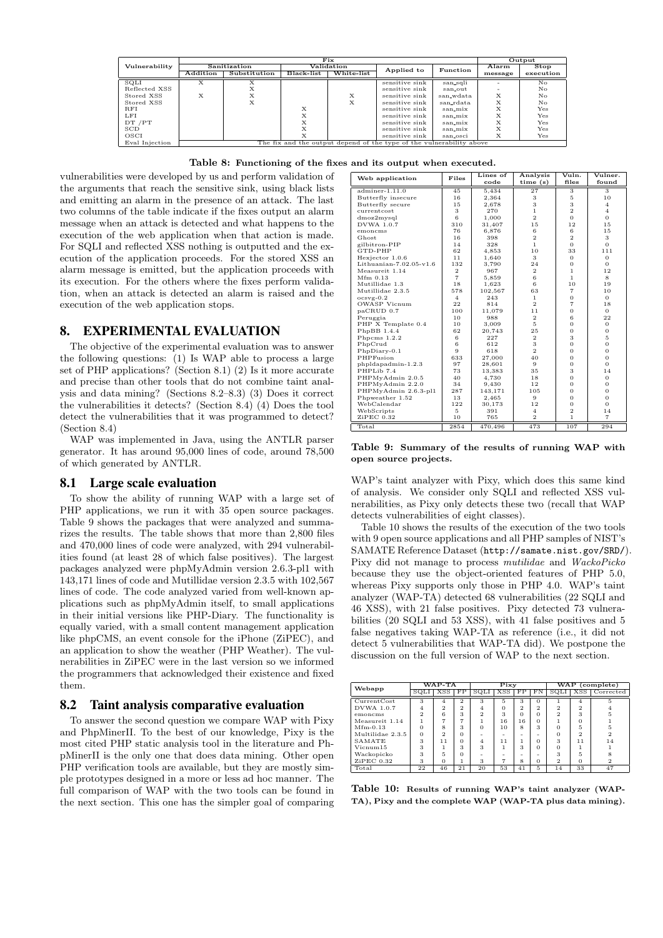|                |          |              |            | Fix        |                                                                      |           |         | Output    |
|----------------|----------|--------------|------------|------------|----------------------------------------------------------------------|-----------|---------|-----------|
| Vulnerability  |          | Sanitization |            | Validation | Applied to                                                           | Function  | Alarm   | Stop      |
|                | Addition | Substitution | Black-list | White-list |                                                                      |           | message | execution |
| SQLI           |          |              |            |            | sensitive sink                                                       | san_sqli  |         | No        |
| Reflected XSS  |          | Х            |            |            | sensitive sink                                                       | san_out   |         | No        |
| Stored XSS     | X        | Х            |            | Х          | sensitive sink                                                       | san_wdata | Х       | No        |
| Stored XSS     |          | Х            |            | X          | sensitive sink                                                       | san_rdata | X       | No        |
| <b>RFI</b>     |          |              | X          |            | sensitive sink                                                       | san_mix   | X       | Yes       |
| LFI            |          |              | X          |            | sensitive sink                                                       | san_mix   | X       | Yes       |
| DT /PT         |          |              | X          |            | sensitive sink                                                       | san_mix   | х       | Yes       |
| SCD            |          |              | X          |            | sensitive sink                                                       | san_mix   | X       | Yes       |
| OSCI           |          |              | X          |            | sensitive sink                                                       | san_osci  | х       | Yes       |
| Eval Injection |          |              |            |            | The fix and the output depend of the type of the vulnerability above |           |         |           |

|  | Table 8: Functioning of the fixes and its output when executed. |  |  |  |
|--|-----------------------------------------------------------------|--|--|--|
|  |                                                                 |  |  |  |

vulnerabilities were developed by us and perform validation of the arguments that reach the sensitive sink, using black lists and emitting an alarm in the presence of an attack. The last two columns of the table indicate if the fixes output an alarm message when an attack is detected and what happens to the execution of the web application when that action is made. For SQLI and reflected XSS nothing is outputted and the execution of the application proceeds. For the stored XSS an alarm message is emitted, but the application proceeds with its execution. For the others where the fixes perform validation, when an attack is detected an alarm is raised and the execution of the web application stops.

# 8. EXPERIMENTAL EVALUATION

The objective of the experimental evaluation was to answer the following questions: (1) Is WAP able to process a large set of PHP applications? (Section 8.1) (2) Is it more accurate and precise than other tools that do not combine taint analysis and data mining? (Sections 8.2–8.3) (3) Does it correct the vulnerabilities it detects? (Section 8.4) (4) Does the tool detect the vulnerabilities that it was programmed to detect? (Section 8.4)

WAP was implemented in Java, using the ANTLR parser generator. It has around 95,000 lines of code, around 78,500 of which generated by ANTLR.

### 8.1 Large scale evaluation

To show the ability of running WAP with a large set of PHP applications, we run it with 35 open source packages. Table 9 shows the packages that were analyzed and summarizes the results. The table shows that more than 2,800 files and 470,000 lines of code were analyzed, with 294 vulnerabilities found (at least 28 of which false positives). The largest packages analyzed were phpMyAdmin version 2.6.3-pl1 with 143,171 lines of code and Mutillidae version 2.3.5 with 102,567 lines of code. The code analyzed varied from well-known applications such as phpMyAdmin itself, to small applications in their initial versions like PHP-Diary. The functionality is equally varied, with a small content management application like phpCMS, an event console for the iPhone (ZiPEC), and an application to show the weather (PHP Weather). The vulnerabilities in ZiPEC were in the last version so we informed the programmers that acknowledged their existence and fixed them.

## 8.2 Taint analysis comparative evaluation

To answer the second question we compare WAP with Pixy and PhpMinerII. To the best of our knowledge, Pixy is the most cited PHP static analysis tool in the literature and PhpMinerII is the only one that does data mining. Other open PHP verification tools are available, but they are mostly simple prototypes designed in a more or less ad hoc manner. The full comparison of WAP with the two tools can be found in the next section. This one has the simpler goal of comparing

| Web application         | Files                | Lines of<br>code | Analysis<br>time(s)            | Vuln.<br>files          | Vulner.<br>found        |
|-------------------------|----------------------|------------------|--------------------------------|-------------------------|-------------------------|
| $adminer-1.11.0$        | 45                   | 5,434            | 27                             | $\overline{\mathbf{3}}$ | $\overline{\mathbf{3}}$ |
| Butterfly insecure      | 16                   | 2,364            | 3                              | 5                       | 10                      |
| Butterfly secure        | 15                   | 2,678            | 3                              | 3                       | $\overline{4}$          |
| currentcost             | 3                    | 270              | $\mathbf{1}$                   | $\overline{2}$          | $\overline{4}$          |
| dmoz2mysql              | 6                    | 1.000            | $\overline{2}$                 | $\Omega$                | $\Omega$                |
| DVWA 1.0.7              | 310                  | 31,407           | 15                             | 12                      | 15                      |
| emoncms                 | 76                   | 6,876            | 6                              | 6                       | 15                      |
| Ghost                   | 16                   | 398              | $\overline{2}$                 | $\overline{2}$          | 3                       |
| gilbitron-PIP           | 14                   | 328              | $\mathbf{1}$                   | $\Omega$                | $\overline{0}$          |
| GTD-PHP                 | 62                   | 4,853            | 10                             | 33                      | 111                     |
| Hexjector 1.0.6         | 11                   | 1,640            | 3                              | $\Omega$                | $\overline{0}$          |
| Lithuanian-7.02.05-v1.6 | 132                  |                  | 24                             | $\theta$                | $\Omega$                |
| Measureit 1.14          | $\overline{2}$       | 3,790<br>967     | $\overline{2}$                 | $\mathbf{1}$            | 12                      |
| $Mfm$ 0.13              | $\overline{7}$       |                  | 6                              | $\mathbf{1}$            | 8                       |
| Mutillidae 1.3          | 18                   | 5,859            | 6                              | 10 <sup>1</sup>         | 19                      |
| Mutillidae 2.3.5        | 578                  | 1,623            | 63                             | $\overline{7}$          |                         |
|                         |                      | 102,567          |                                | $\Omega$                | 10                      |
| $ocsvg-0.2$             | $\overline{4}$<br>22 | 243<br>814       | $\mathbf{1}$<br>$\overline{2}$ | $\overline{7}$          | $\Omega$                |
| <b>OWASP</b> Vienum     |                      |                  | 11                             | $\Omega$                | 18<br>$\Omega$          |
| paCRUD 0.7              | 100                  | 11,079           | $\overline{2}$                 | 6                       | 22                      |
| Peruggia                | 10                   | 988              | 5                              | $\Omega$                |                         |
| PHP X Template 0.4      | 10                   | 3,009            |                                | $\Omega$                | $\overline{0}$          |
| PhpBB 1.4.4             | 62                   | 20,743           | 25                             |                         | $\sigma$<br>5           |
| Phpcms 1.2.2            | 6                    | 227              | $\overline{2}$                 | 3<br>$\Omega$           |                         |
| PhpCrud                 | 6                    | 612              | 3<br>$\overline{2}$            |                         | $\overline{0}$          |
| PhpDiary-0.1            | 9                    | 618              |                                | $\Omega$                | $\overline{O}$          |
| PHPFusion               | 633                  | 27,000           | 40                             | $\theta$                | $\overline{0}$          |
| phpldapadmin-1.2.3      | 97                   | 28,601           | 9                              | $\theta$                | $\sigma$                |
| PHPLib 7.4              | 73                   | 13,383           | 35                             | 3                       | 14                      |
| PHPMyAdmin 2.0.5        | 40                   | 4,730            | 18                             | $\Omega$                | $\overline{0}$          |
| PHPMyAdmin 2.2.0        | 34                   | 9,430            | 12                             | $\Omega$                | $\theta$                |
| PHPMyAdmin 2.6.3-pl1    | 287                  | 143,171          | 105                            | $\theta$                | $\theta$                |
| Phpweather 1.52         | 13                   | 2.465            | 9                              | $\Omega$                | $\Omega$                |
| WebCalendar             | 122                  | 30,173           | 12                             | $\Omega$                | $\Omega$                |
| WebScripts              | 5                    | 391              | $\overline{4}$                 | $\overline{2}$          | 14                      |
| ZiPEC 0.32              | 10                   | 765              | $\overline{2}$                 | $\mathbf{1}$            | $\overline{7}$          |
| Total                   | 2854                 | 470,496          | 473                            | 107                     | 294                     |

Table 9: Summary of the results of running WAP with open source projects.

WAP's taint analyzer with Pixy, which does this same kind of analysis. We consider only SQLI and reflected XSS vulnerabilities, as Pixy only detects these two (recall that WAP detects vulnerabilities of eight classes).

Table 10 shows the results of the execution of the two tools with 9 open source applications and all PHP samples of NIST's SAMATE Reference Dataset (http://samate.nist.gov/SRD/). Pixy did not manage to process mutilidae and WackoPicko because they use the object-oriented features of PHP 5.0, whereas Pixy supports only those in PHP 4.0. WAP's taint analyzer (WAP-TA) detected 68 vulnerabilities (22 SQLI and 46 XSS), with 21 false positives. Pixy detected 73 vulnerabilities (20 SQLI and 53 XSS), with 41 false positives and 5 false negatives taking WAP-TA as reference (i.e., it did not detect 5 vulnerabilities that WAP-TA did). We postpone the discussion on the full version of WAP to the next section.

| Webapp           | WAP-TA         |                |                | Pixy           |          |                |                | WAP<br>(complete) |                |                    |
|------------------|----------------|----------------|----------------|----------------|----------|----------------|----------------|-------------------|----------------|--------------------|
|                  | SQL1           | XSS            | FP             | SQLI           | XSS      | FP             | FN             | <b>SQLI</b>       | XSS            | $\Gamma$ Corrected |
| CurrentCost      | з              | 4              | 2              | 3              | 5        | 3              | Ω              |                   | 4              | 5                  |
| DVWA 1.0.7       | $\overline{4}$ | $\overline{2}$ | $\overline{2}$ | 4              | $\Omega$ | $\overline{2}$ | $\overline{2}$ | 2                 | $\overline{2}$ |                    |
| emoncms          | $\overline{2}$ | 6              | 3              | $\overline{2}$ | 3        | $\Omega$       | $\Omega$       | $\mathcal{D}$     | 3              | 5                  |
| Measureit 1.14   |                |                | ⇁              |                | 16       | 16             | $\Omega$       |                   | $\Omega$       |                    |
| $Mfm-0.13$       |                | 8              | 3              | $\Omega$       | 10       | 8              | 3              | 0                 | 5              | 5                  |
| Multilidae 2.3.5 | $\Omega$       | $\overline{2}$ | O              |                |          | ۰              |                | 0                 | $\overline{2}$ | $\mathcal{D}$      |
| SAMATE           | 3              | 11             | O              | 4              | 11       |                | $\Omega$       | 3                 | 11             | 14                 |
| Vicnum15         | 3              |                | 3              | 3              |          | 3              | $\Omega$       | 0                 |                |                    |
| Wackopicko       | 3              | 5              | O              |                |          | ۰              | ۰              | 3                 | 5              | 8                  |
| $ZiPEC$ 0.32     | 3              | O              |                | 3              | -        | 8              | $\overline{0}$ | $\overline{2}$    | $\Omega$       | $\overline{2}$     |
| Total            | 22             | 46             | 21             | 20             | 53       | 41             | 5              | 14                | 33             | 47                 |

Table 10: Results of running WAP's taint analyzer (WAP-TA), Pixy and the complete WAP (WAP-TA plus data mining).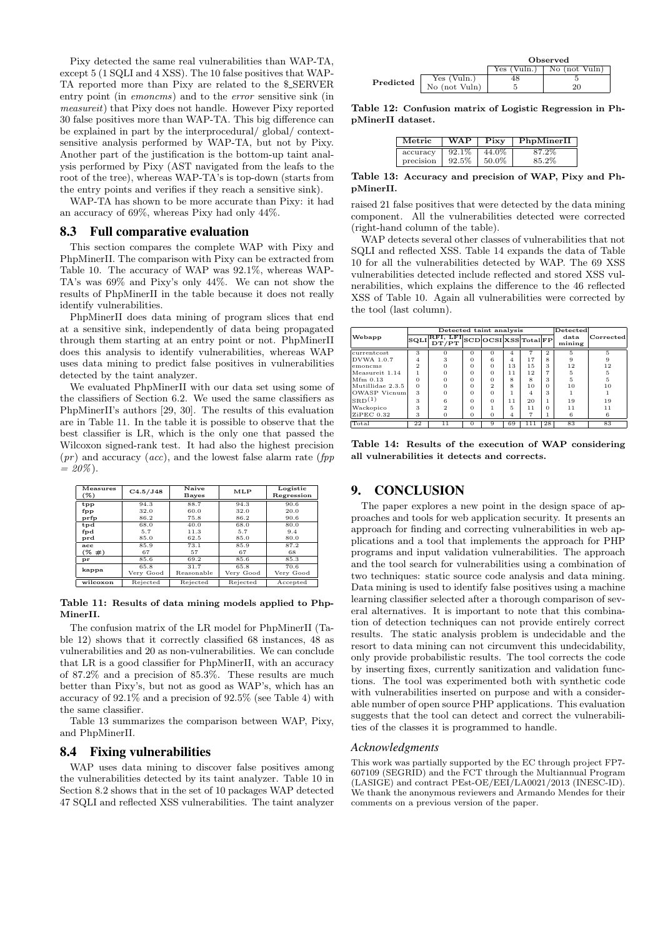Pixy detected the same real vulnerabilities than WAP-TA, except 5 (1 SQLI and 4 XSS). The 10 false positives that WAP-TA reported more than Pixy are related to the \$ SERVER entry point (in *emoncms*) and to the *error* sensitive sink (in measureit) that Pixy does not handle. However Pixy reported 30 false positives more than WAP-TA. This big difference can be explained in part by the interprocedural/ global/ contextsensitive analysis performed by WAP-TA, but not by Pixy. Another part of the justification is the bottom-up taint analysis performed by Pixy (AST navigated from the leafs to the root of the tree), whereas WAP-TA's is top-down (starts from the entry points and verifies if they reach a sensitive sink).

WAP-TA has shown to be more accurate than Pixy: it had an accuracy of 69%, whereas Pixy had only 44%.

## 8.3 Full comparative evaluation

This section compares the complete WAP with Pixy and PhpMinerII. The comparison with Pixy can be extracted from Table 10. The accuracy of WAP was 92.1%, whereas WAP-TA's was 69% and Pixy's only 44%. We can not show the results of PhpMinerII in the table because it does not really identify vulnerabilities.

PhpMinerII does data mining of program slices that end at a sensitive sink, independently of data being propagated through them starting at an entry point or not. PhpMinerII does this analysis to identify vulnerabilities, whereas WAP uses data mining to predict false positives in vulnerabilities detected by the taint analyzer.

We evaluated PhpMinerII with our data set using some of the classifiers of Section 6.2. We used the same classifiers as PhpMinerII's authors [29, 30]. The results of this evaluation are in Table 11. In the table it is possible to observe that the best classifier is LR, which is the only one that passed the Wilcoxon signed-rank test. It had also the highest precision  $(pr)$  and accuracy  $(ac)$ , and the lowest false alarm rate  $(pp)$  $= 20\%)$ .

| Measures<br>$(\%)$ | C4.5/J48  | <b>Naive</b><br><b>Bayes</b> | MLP       | Logistic<br>Regression |
|--------------------|-----------|------------------------------|-----------|------------------------|
| tpp                | 94.3      | 88.7                         | 94.3      | 90.6                   |
| fpp                | 32.0      | 60.0                         | 32.0      | 20.0                   |
| prfp               | 86.2      | 75.8                         | 86.2      | 90.6                   |
| tpd                | 68.0      | 40.0                         | 68.0      | 80.0                   |
| fpd                | 5.7       | 11.3                         | 5.7       | 9.4                    |
| prd                | 85.0      | 62.5                         | 85.0      | 80.0                   |
| $_{\rm acc}$       | 85.9      | 73.1                         | 85.9      | 87.2                   |
| $( \% \# )$        | 67        | 57                           | 67        | 68                     |
| pr                 | 85.6      | 69.2                         | 85.6      | 85.3                   |
| kappa              | 65.8      | 31.7                         | 65.8      | 70.6                   |
|                    | Very Good | Reasonable                   | Very Good | Very Good              |
| wilcoxon           | Rejected  | Rejected                     | Rejected  | Accepted               |

Table 11: Results of data mining models applied to Php-MinerII.

The confusion matrix of the LR model for PhpMinerII (Table 12) shows that it correctly classified 68 instances, 48 as vulnerabilities and 20 as non-vulnerabilities. We can conclude that LR is a good classifier for PhpMinerII, with an accuracy of 87.2% and a precision of 85.3%. These results are much better than Pixy's, but not as good as WAP's, which has an accuracy of 92.1% and a precision of 92.5% (see Table 4) with the same classifier.

Table 13 summarizes the comparison between WAP, Pixy, and PhpMinerII.

## 8.4 Fixing vulnerabilities

WAP uses data mining to discover false positives among the vulnerabilities detected by its taint analyzer. Table 10 in Section 8.2 shows that in the set of 10 packages WAP detected 47 SQLI and reflected XSS vulnerabilities. The taint analyzer

|           |               | Observed        |               |  |  |
|-----------|---------------|-----------------|---------------|--|--|
|           |               | Vuln.`<br>Yes ( | No (not Vuln) |  |  |
| Predicted | Yes (Vuln.)   |                 |               |  |  |
|           | No (not Vuln) |                 |               |  |  |

Table 12: Confusion matrix of Logistic Regression in PhpMinerII dataset.

| Metric    |       | Pixv  | PhpMinerII |
|-----------|-------|-------|------------|
| accuracy  | 92.1% |       |            |
| precision |       | 50.0% | 85.2%      |

Table 13: Accuracy and precision of WAP, Pixy and PhpMinerII.

raised 21 false positives that were detected by the data mining component. All the vulnerabilities detected were corrected (right-hand column of the table).

WAP detects several other classes of vulnerabilities that not SQLI and reflected XSS. Table 14 expands the data of Table 10 for all the vulnerabilities detected by WAP. The 69 XSS vulnerabilities detected include reflected and stored XSS vulnerabilities, which explains the difference to the 46 reflected XSS of Table 10. Again all vulnerabilities were corrected by the tool (last column).

|                  | Detected taint analysis |                      |          |                       |                | Detected |          |                |           |
|------------------|-------------------------|----------------------|----------|-----------------------|----------------|----------|----------|----------------|-----------|
| Webapp           | SQLI                    | LFI<br>RFI.<br>DT/PT |          | SCD OCSI XSS Total FP |                |          |          | data<br>mining | Corrected |
| currentcost      | 3                       | 0                    | $\Omega$ | 0                     | 4              |          | 2        | 5              | 5         |
| DVWA 1.0.7       | $\overline{4}$          | 3                    | $\Omega$ | 6                     | $\overline{4}$ | 17       | 8        | 9              | 9         |
| emoncms          | $\overline{2}$          |                      | $\Omega$ | $\Omega$              | 13             | 1.5      | 3        | 12             | 12        |
| Measureit 1.14   |                         |                      | $\Omega$ | $\Omega$              | 11             | 12       |          | 5              | 5         |
| $Mfm$ 0.13       |                         |                      | O        | $\Omega$              | 8              | 8        | 3        | 5              | 5         |
| Mutillidae 2.3.5 | $\Omega$                |                      | $\Omega$ | $\overline{2}$        | 8              | 10       | $\Omega$ | 10             | 10        |
| OWASP Vicnum     | 3                       |                      | O        | $\Omega$              |                | 4        | 3        |                |           |
| $_{\rm SRD}(1)$  | 3                       | 6                    | $\Omega$ | $\Omega$              | 11             | 20       |          | 19             | 19        |
| Wackopico        | 3                       | $\overline{2}$       |          |                       | 5              | 11       | O        | 11             | 11        |
| $ZiPEC$ $0.32$   | 3                       | O                    | $\Omega$ | $\Omega$              | $\overline{4}$ |          |          | 6              | 6         |
| Total            | 22                      | 11                   | $\Omega$ | 9                     | 69             | 111      | 28       | 83             | 83        |

Table 14: Results of the execution of WAP considering all vulnerabilities it detects and corrects.

## 9. CONCLUSION

The paper explores a new point in the design space of approaches and tools for web application security. It presents an approach for finding and correcting vulnerabilities in web applications and a tool that implements the approach for PHP programs and input validation vulnerabilities. The approach and the tool search for vulnerabilities using a combination of two techniques: static source code analysis and data mining. Data mining is used to identify false positives using a machine learning classifier selected after a thorough comparison of several alternatives. It is important to note that this combination of detection techniques can not provide entirely correct results. The static analysis problem is undecidable and the resort to data mining can not circumvent this undecidability, only provide probabilistic results. The tool corrects the code by inserting fixes, currently sanitization and validation functions. The tool was experimented both with synthetic code with vulnerabilities inserted on purpose and with a considerable number of open source PHP applications. This evaluation suggests that the tool can detect and correct the vulnerabilities of the classes it is programmed to handle.

## *Acknowledgments*

This work was partially supported by the EC through project FP7- 607109 (SEGRID) and the FCT through the Multiannual Program (LASIGE) and contract PEst-OE/EEI/LA0021/2013 (INESC-ID). We thank the anonymous reviewers and Armando Mendes for their comments on a previous version of the paper.